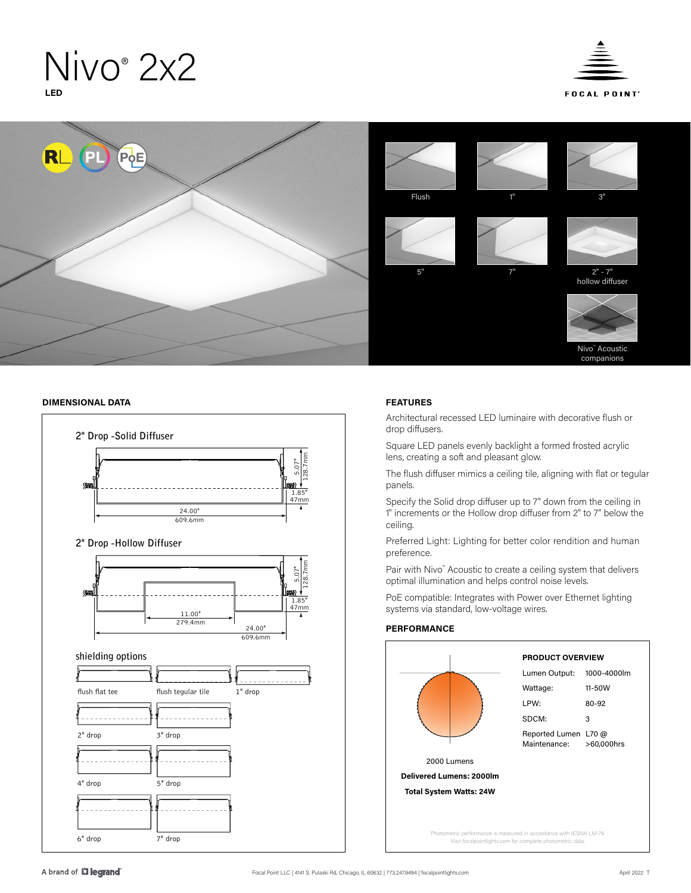# Nivo<sup>®</sup> 2x2 **LED**





# **DIMENSIONAL DATA FEATURES**



Architectural recessed LED luminaire with decorative flush or drop diffusers.

Square LED panels evenly backlight a formed frosted acrylic lens, creating a soft and pleasant glow.

The flush diffuser mimics a ceiling tile, aligning with flat or tegular panels.

Specify the Solid drop diffuser up to 7" down from the ceiling in 1" increments or the Hollow drop diffuser from 2" to 7" below the ceiling.

Preferred Light: Lighting for better color rendition and human preference.

Pair with Nivo™ Acoustic to create a ceiling system that delivers optimal illumination and helps control noise levels.

PoE compatible: Integrates with Power over Ethernet lighting systems via standard, low-voltage wires.

# **PERFORMANCE**